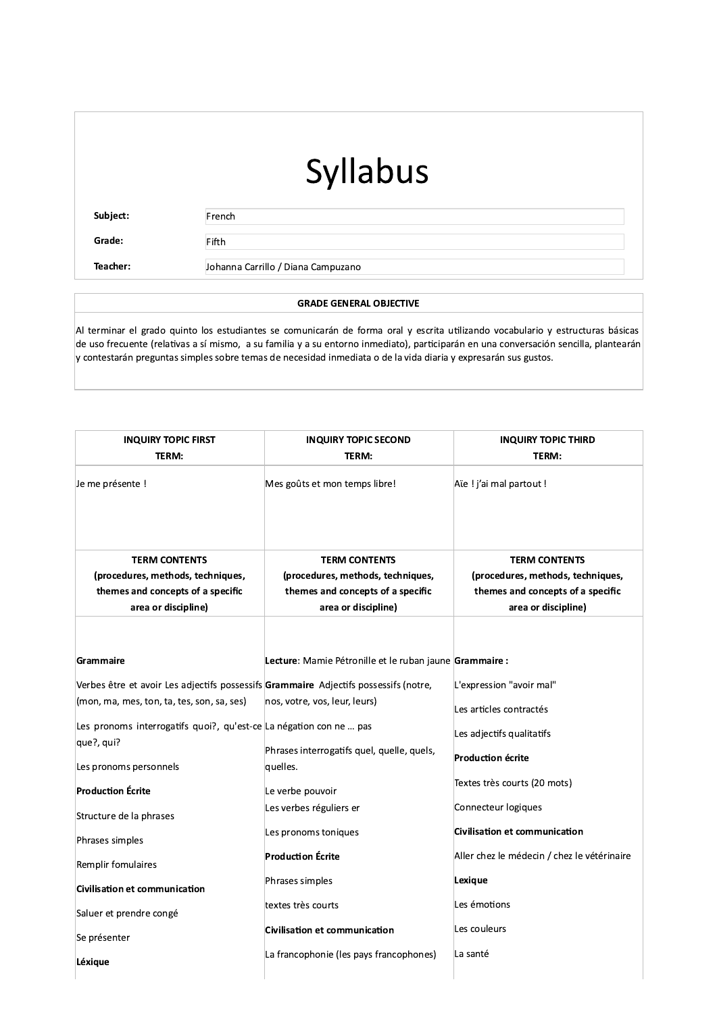Subject:

French

Fifth

Grade:

Teacher:

Johanna Carrillo / Diana Campuzano

#### **GRADE GENERAL OBJECTIVE**

Al terminar el grado quinto los estudiantes se comunicarán de forma oral y escrita utilizando vocabulario y estructuras básicas de uso frecuente (relativas a sí mismo, a su familia y a su entorno inmediato), participarán en una conversación sencilla, plantearán y contestarán preguntas simples sobre temas de necesidad inmediata o de la vida diaria y expresarán sus gustos.

| <b>INQUIRY TOPIC FIRST</b>                                                                     | <b>INQUIRY TOPIC SECOND</b>                                                                    | <b>INQUIRY TOPIC THIRD</b>                                                                     |
|------------------------------------------------------------------------------------------------|------------------------------------------------------------------------------------------------|------------------------------------------------------------------------------------------------|
| TERM:                                                                                          | TERM:                                                                                          | TERM:                                                                                          |
| Je me présente !                                                                               | Mes goûts et mon temps libre!                                                                  | Aïe ! j'ai mal partout !                                                                       |
| <b>TERM CONTENTS</b><br>(procedures, methods, techniques,<br>themes and concepts of a specific | <b>TERM CONTENTS</b><br>(procedures, methods, techniques,<br>themes and concepts of a specific | <b>TERM CONTENTS</b><br>(procedures, methods, techniques,<br>themes and concepts of a specific |
| area or discipline)                                                                            | area or discipline)                                                                            | area or discipline)                                                                            |
| Grammaire                                                                                      | Lecture: Mamie Pétronille et le ruban jaune Grammaire :                                        |                                                                                                |
| Verbes être et avoir Les adjectifs possessifs Grammaire Adjectifs possessifs (notre,           |                                                                                                | L'expression "avoir mal"                                                                       |
| (mon, ma, mes, ton, ta, tes, son, sa, ses)                                                     | nos, votre, vos, leur, leurs)                                                                  | Les articles contractés                                                                        |
| Les pronoms interrogatifs quoi?, qu'est-ce La négation con ne  pas<br>que?, qui?               |                                                                                                | Les adjectifs qualitatifs                                                                      |
| Les pronoms personnels                                                                         | Phrases interrogatifs quel, quelle, quels,<br>quelles.                                         | <b>Production écrite</b>                                                                       |
| <b>Production Écrite</b>                                                                       | Le verbe pouvoir                                                                               | Textes très courts (20 mots)                                                                   |
| Structure de la phrases                                                                        | Les verbes réguliers er                                                                        | Connecteur logiques                                                                            |
| Phrases simples                                                                                | Les pronoms toniques                                                                           | Civilisation et communication                                                                  |
| Remplir fomulaires                                                                             | <b>Production Écrite</b>                                                                       | Aller chez le médecin / chez le vétérinaire                                                    |
| Civilisation et communication                                                                  | Phrases simples                                                                                | Lexique                                                                                        |
| Saluer et prendre congé                                                                        | textes très courts                                                                             | Les émotions                                                                                   |
| Se présenter                                                                                   | <b>Civilisation et communication</b>                                                           | Les couleurs                                                                                   |
| Léxique                                                                                        | La francophonie (les pays francophones)                                                        | La santé                                                                                       |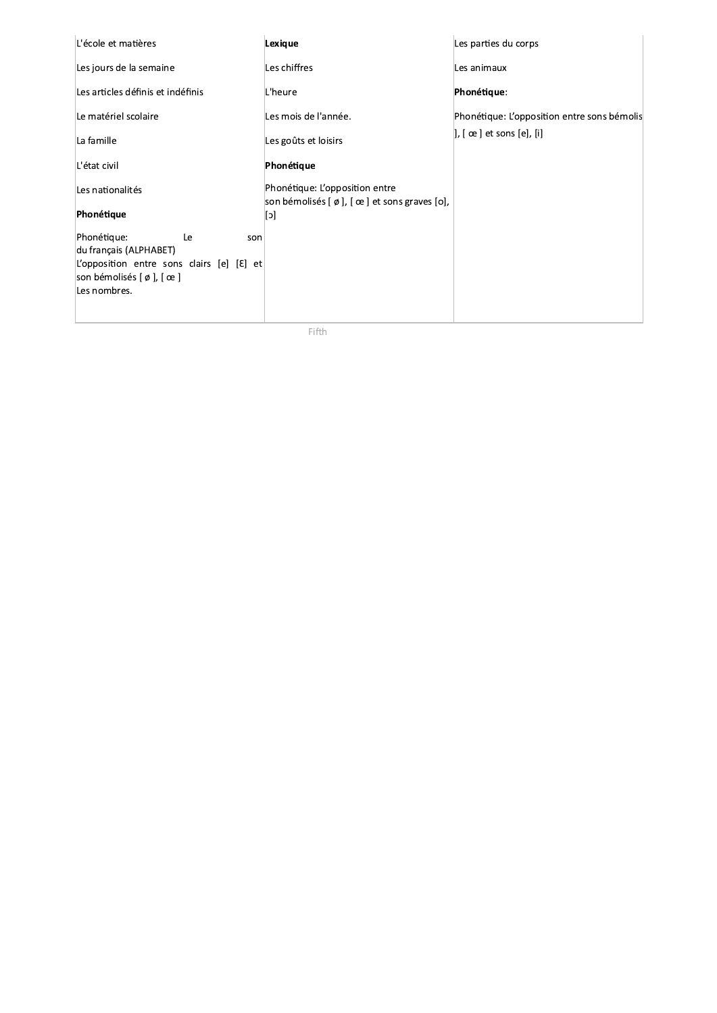| L'école et matières                                                                           | Lexique                                                                                                         | Les parties du corps                        |
|-----------------------------------------------------------------------------------------------|-----------------------------------------------------------------------------------------------------------------|---------------------------------------------|
| Les jours de la semaine                                                                       | Les chiffres                                                                                                    | Les animaux                                 |
| Les articles définis et indéfinis                                                             | L'heure                                                                                                         | Phonétique:                                 |
| Le matériel scolaire                                                                          | Les mois de l'année.                                                                                            | Phonétique: L'opposition entre sons bémolis |
| La famille                                                                                    | Les goûts et loisirs                                                                                            | ], [ œ ] et sons [e], [i]                   |
| L'état civil                                                                                  | Phonétique                                                                                                      |                                             |
| Les nationalités                                                                              | Phonétique: L'opposition entre                                                                                  |                                             |
| Phonétique                                                                                    | son bémolisés $\lceil \varphi \rceil$ , $\lceil \varphi \rceil$ et sons graves $\lceil \varphi \rceil$ ,<br>[c] |                                             |
| Phonétique:<br>Le<br>son                                                                      |                                                                                                                 |                                             |
| du français (ALPHABET)<br>L'opposition entre sons clairs [e] $\lbrack \mathcal{E} \rbrack$ et |                                                                                                                 |                                             |
| son bémolisés $\lceil \varphi \rceil$ , $\lceil \varphi \rceil$<br>Les nombres.               |                                                                                                                 |                                             |
|                                                                                               |                                                                                                                 |                                             |

Fifth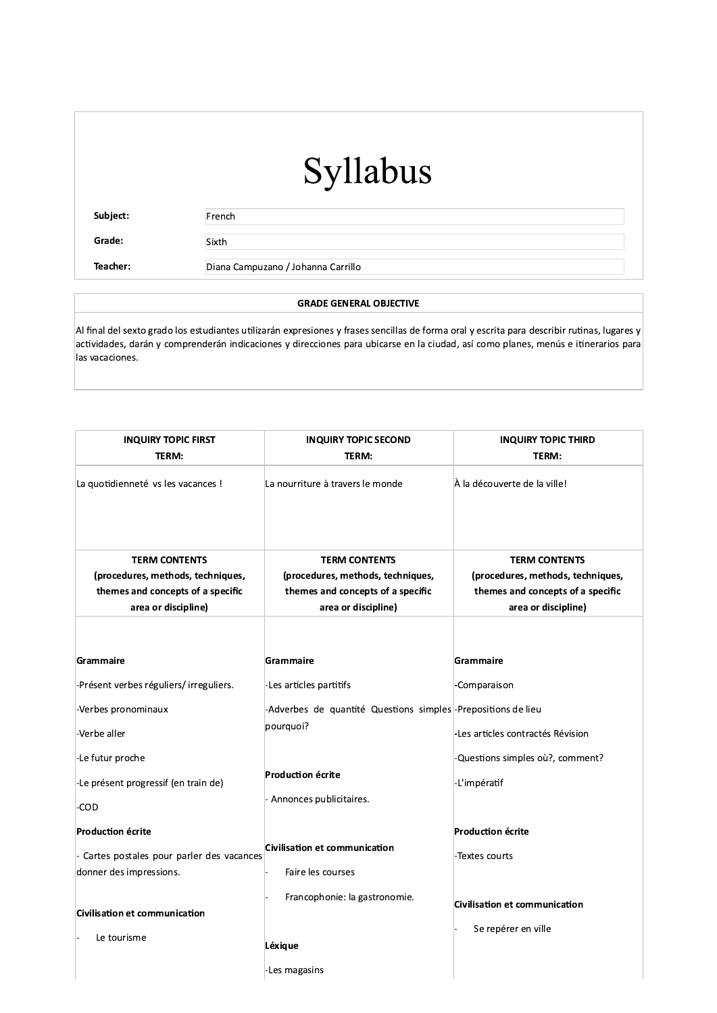Subject:

French

Sixth

Grade:

Teacher:

Diana Campuzano / Johanna Carrillo

#### **GRADE GENERAL OBJECTIVE**

Al final del sexto grado los estudiantes utilizarán expresiones y frases sencillas de forma oral y escrita para describir rutinas, lugares y actividades, darán y comprenderán indicaciones y direcciones para ubicarse en la ciudad, así como planes, menús e itinerarios para las vacaciones.

| <b>INQUIRY TOPIC FIRST</b><br>TERM:                                                                                   | <b>INQUIRY TOPIC SECOND</b><br>TERM:                                                                                  | <b>INQUIRY TOPIC THIRD</b><br>TERM:                                                                                   |
|-----------------------------------------------------------------------------------------------------------------------|-----------------------------------------------------------------------------------------------------------------------|-----------------------------------------------------------------------------------------------------------------------|
| La quotidienneté vs les vacances !                                                                                    | La nourriture à travers le monde                                                                                      | À la découverte de la ville!                                                                                          |
| <b>TERM CONTENTS</b><br>(procedures, methods, techniques,<br>themes and concepts of a specific<br>area or discipline) | <b>TERM CONTENTS</b><br>(procedures, methods, techniques,<br>themes and concepts of a specific<br>area or discipline) | <b>TERM CONTENTS</b><br>(procedures, methods, techniques,<br>themes and concepts of a specific<br>area or discipline) |
| Grammaire                                                                                                             | <b>Grammaire</b>                                                                                                      | Grammaire                                                                                                             |
| -Présent verbes réguliers/irreguliers.                                                                                | -Les articles partitifs                                                                                               | -Comparaison                                                                                                          |
| -Verbes pronominaux                                                                                                   | -Adverbes de quantité Questions simples <sup>1</sup> -Prepositions de lieu                                            |                                                                                                                       |
| -Verbe aller                                                                                                          | pourquoi?                                                                                                             | -Les articles contractés Révision                                                                                     |
| -Le futur proche                                                                                                      |                                                                                                                       | -Questions simples où?, comment?                                                                                      |
| -Le présent progressif (en train de)                                                                                  | <b>Production écrite</b>                                                                                              | -L'impératif                                                                                                          |
| -COD                                                                                                                  | - Annonces publicitaires.                                                                                             |                                                                                                                       |
| Production écrite                                                                                                     |                                                                                                                       | <b>Production écrite</b>                                                                                              |
| Cartes postales pour parler des vacances                                                                              | Civilisation et communication                                                                                         | -Textes courts                                                                                                        |
| donner des impressions.                                                                                               | Faire les courses                                                                                                     |                                                                                                                       |
| Civilisation et communication<br>Le tourisme                                                                          | Francophonie: la gastronomie.                                                                                         | <b>Civilisation et communication</b><br>Se repérer en ville                                                           |
|                                                                                                                       | Léxique<br>-Les magasins                                                                                              |                                                                                                                       |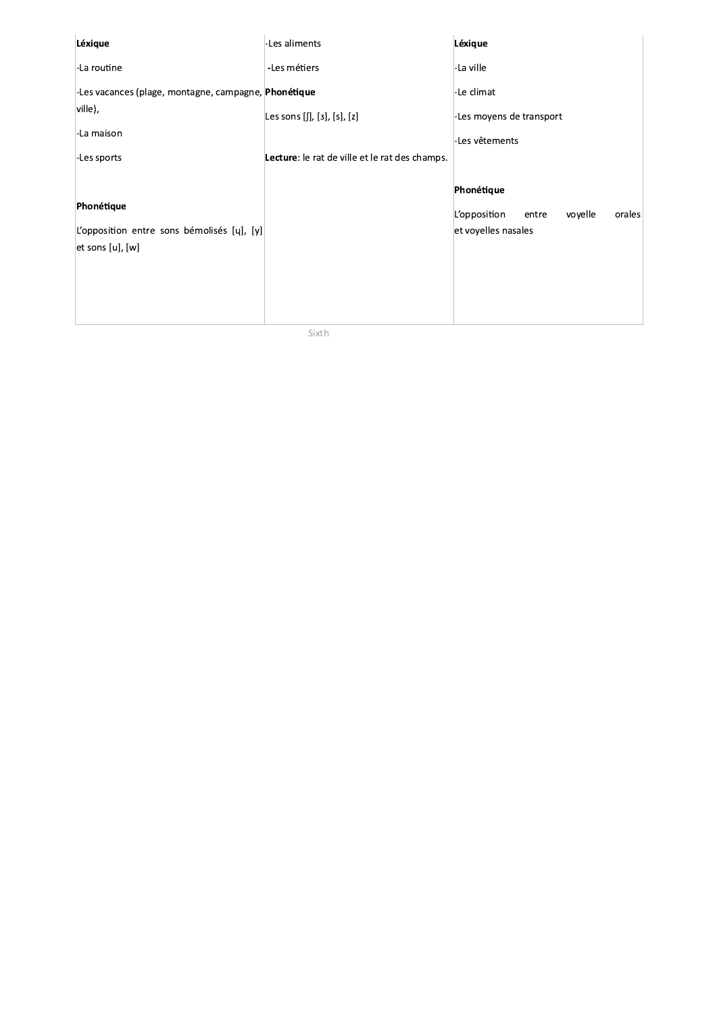| Léxique                                              | -Les aliments                                  | Léxique                                    |
|------------------------------------------------------|------------------------------------------------|--------------------------------------------|
| -La routine                                          | -Les métiers                                   | -La ville                                  |
| -Les vacances (plage, montagne, campagne, Phonétique |                                                | -Le climat                                 |
| ville),                                              | Les sons $[[], [3], [s], [z]$                  | -Les moyens de transport                   |
| -La maison                                           |                                                | -Les vêtements                             |
| -Les sports                                          | Lecture: le rat de ville et le rat des champs. |                                            |
|                                                      |                                                | Phonétique                                 |
| Phonétique                                           |                                                | L'opposition<br>voyelle<br>orales<br>entre |
| L'opposition entre sons bémolisés [y], [y]           |                                                | et voyelles nasales                        |
| $[et$ sons $[u]$ , $[w]$                             |                                                |                                            |
|                                                      |                                                |                                            |
|                                                      |                                                |                                            |
|                                                      |                                                |                                            |

Sixth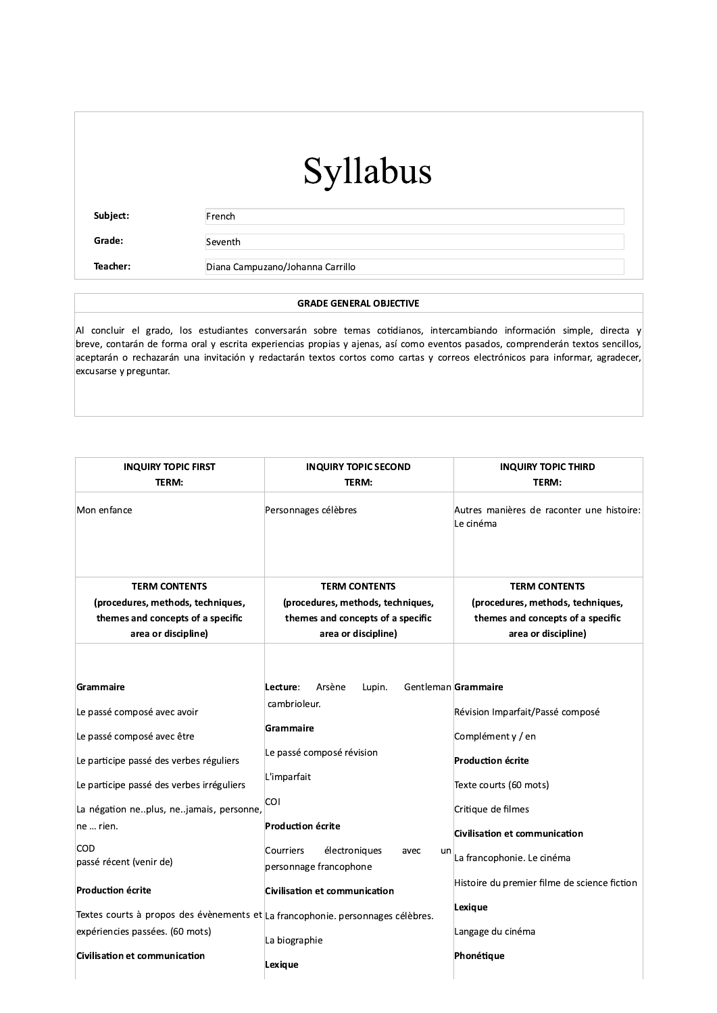Subject:

Teacher:

French

Grade:

Seventh

Diana Campuzano/Johanna Carrillo

#### **GRADE GENERAL OBJECTIVE**

Al concluir el grado, los estudiantes conversarán sobre temas cotidianos, intercambiando información simple, directa y breve, contarán de forma oral y escrita experiencias propias y ajenas, así como eventos pasados, comprenderán textos sencillos, aceptarán o rechazarán una invitación y redactarán textos cortos como cartas y correos electrónicos para informar, agradecer, excusarse y preguntar.

| <b>INQUIRY TOPIC FIRST</b><br>TERM:                                                                                                                                                                       | <b>INQUIRY TOPIC SECOND</b><br>TERM:                                                                         | <b>INQUIRY TOPIC THIRD</b><br>TERM:                                                                                                                      |
|-----------------------------------------------------------------------------------------------------------------------------------------------------------------------------------------------------------|--------------------------------------------------------------------------------------------------------------|----------------------------------------------------------------------------------------------------------------------------------------------------------|
| Mon enfance                                                                                                                                                                                               | Personnages célèbres                                                                                         | Autres manières de raconter une histoire:<br>Le cinéma                                                                                                   |
| <b>TERM CONTENTS</b>                                                                                                                                                                                      | <b>TERM CONTENTS</b>                                                                                         | <b>TERM CONTENTS</b>                                                                                                                                     |
| (procedures, methods, techniques,<br>themes and concepts of a specific                                                                                                                                    | (procedures, methods, techniques,<br>themes and concepts of a specific                                       | (procedures, methods, techniques,<br>themes and concepts of a specific                                                                                   |
| area or discipline)                                                                                                                                                                                       | area or discipline)                                                                                          | area or discipline)                                                                                                                                      |
| Grammaire<br>Le passé composé avec avoir<br>Le passé composé avec être<br>Le participe passé des verbes réguliers<br>Le participe passé des verbes irréguliers<br>La négation neplus, nejamais, personne, | Arsène<br>Lupin.<br>Lecture:<br>cambrioleur.<br>Grammaire<br>Le passé composé révision<br>L'imparfait<br>COI | Gentleman Grammaire<br>Révision Imparfait/Passé composé<br>Complément y / en<br><b>Production écrite</b><br>Texte courts (60 mots)<br>Critique de filmes |
| ne  rien.                                                                                                                                                                                                 | <b>Production écrite</b>                                                                                     |                                                                                                                                                          |
| COD<br>passé récent (venir de)                                                                                                                                                                            | Courriers<br>électroniques<br>avec<br>un<br>personnage francophone                                           | Civilisation et communication<br>La francophonie. Le cinéma                                                                                              |
| <b>Production écrite</b>                                                                                                                                                                                  | Civilisation et communication                                                                                | Histoire du premier filme de science fiction                                                                                                             |
| Textes courts à propos des évènements et La francophonie. personnages célèbres.<br>expériencies passées. (60 mots)                                                                                        |                                                                                                              | Lexique<br>Langage du cinéma                                                                                                                             |
| <b>Civilisation et communication</b>                                                                                                                                                                      | La biographie<br>Lexique                                                                                     | Phonétique                                                                                                                                               |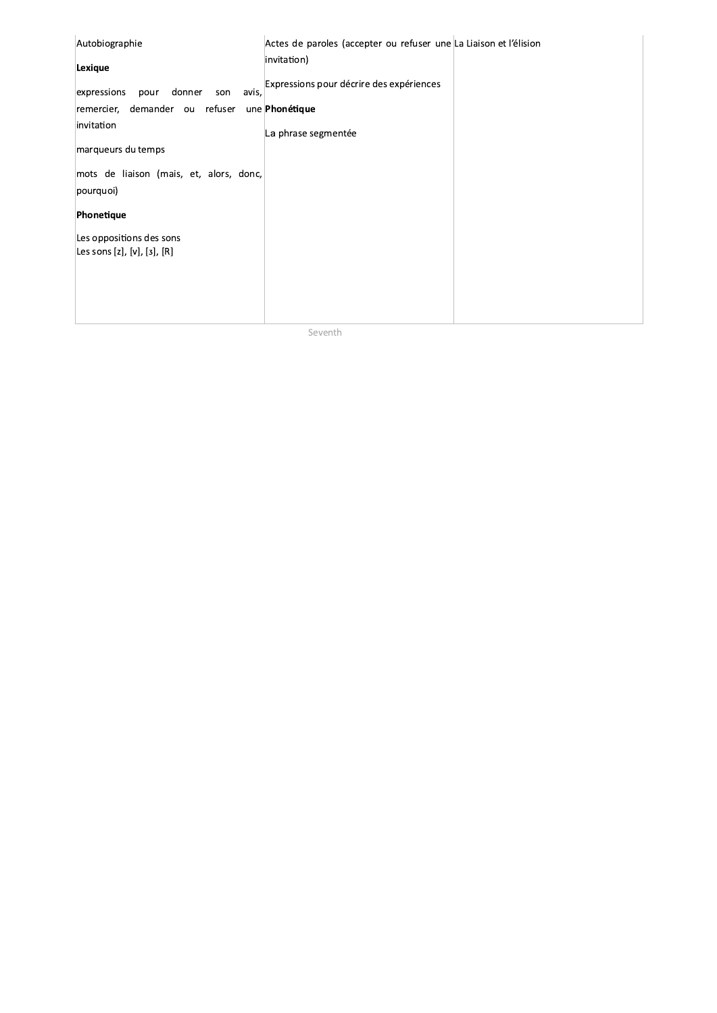| Autobiographie                                | Actes de paroles (accepter ou refuser une La Liaison et l'élision |  |
|-----------------------------------------------|-------------------------------------------------------------------|--|
| Lexique                                       | invitation)                                                       |  |
| avis,<br>donner<br>expressions<br>pour<br>son | Expressions pour décrire des expériences                          |  |
| remercier, demander ou refuser                | une Phonétique                                                    |  |
| invitation                                    | La phrase segmentée                                               |  |
| marqueurs du temps                            |                                                                   |  |
| mots de liaison (mais, et, alors, donc,       |                                                                   |  |
| pourquoi)                                     |                                                                   |  |
| Phonetique                                    |                                                                   |  |
| Les oppositions des sons                      |                                                                   |  |
| Les sons [z], [v], [ɜ], [R]                   |                                                                   |  |
|                                               |                                                                   |  |
|                                               |                                                                   |  |
|                                               |                                                                   |  |

Seventh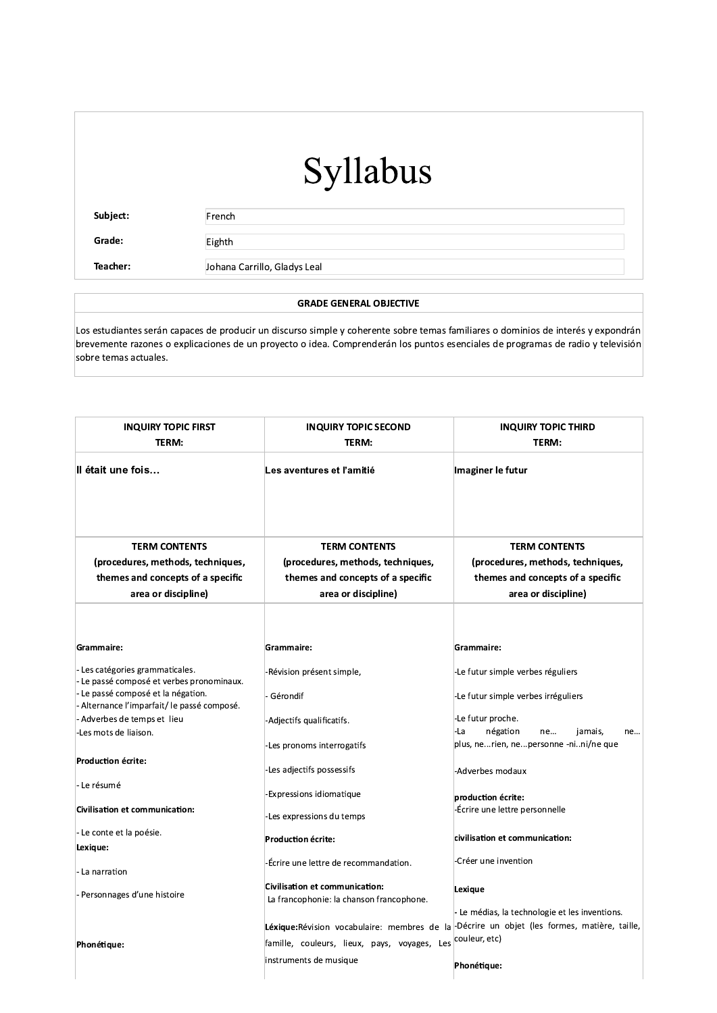Subject:

French

Grade:

Teacher:

Eighth

Johana Carrillo, Gladys Leal

#### **GRADE GENERAL OBJECTIVE**

Los estudiantes serán capaces de producir un discurso simple y coherente sobre temas familiares o dominios de interés y expondrán brevemente razones o explicaciones de un proyecto o idea. Comprenderán los puntos esenciales de programas de radio y televisión sobre temas actuales.

| <b>INQUIRY TOPIC FIRST</b><br>TERM:                                               | <b>INQUIRY TOPIC SECOND</b><br>TERM:                                              | <b>INQUIRY TOPIC THIRD</b><br>TERM:                                                                                                                           |
|-----------------------------------------------------------------------------------|-----------------------------------------------------------------------------------|---------------------------------------------------------------------------------------------------------------------------------------------------------------|
| II était une fois                                                                 | Les aventures et l'amitié                                                         | Imaginer le futur                                                                                                                                             |
| <b>TERM CONTENTS</b>                                                              | <b>TERM CONTENTS</b>                                                              | <b>TERM CONTENTS</b>                                                                                                                                          |
| (procedures, methods, techniques,                                                 | (procedures, methods, techniques,                                                 | (procedures, methods, techniques,                                                                                                                             |
| themes and concepts of a specific                                                 | themes and concepts of a specific                                                 | themes and concepts of a specific                                                                                                                             |
| area or discipline)                                                               | area or discipline)                                                               | area or discipline)                                                                                                                                           |
|                                                                                   |                                                                                   |                                                                                                                                                               |
| Grammaire:                                                                        | Grammaire:                                                                        | Grammaire:                                                                                                                                                    |
| - Les catégories grammaticales.<br>- Le passé composé et verbes pronominaux.      | -Révision présent simple,                                                         | -Le futur simple verbes réguliers                                                                                                                             |
| - Le passé composé et la négation.<br>- Alternance l'imparfait/ le passé composé. | Gérondif                                                                          | -Le futur simple verbes irréguliers                                                                                                                           |
| Adverbes de temps et lieu<br>-Les mots de liaison.                                | Adjectifs qualificatifs.                                                          | -Le futur proche.<br>-La<br>négation<br>ne<br>jamais,<br>ne                                                                                                   |
|                                                                                   | Les pronoms interrogatifs                                                         | plus, nerien, nepersonne -nini/ne que                                                                                                                         |
| Production écrite:                                                                | Les adjectifs possessifs                                                          | -Adverbes modaux                                                                                                                                              |
| - Le résumé                                                                       | <b>Expressions idiomatique</b>                                                    |                                                                                                                                                               |
| Civilisation et communication:                                                    | -Les expressions du temps                                                         | production écrite:<br>-Écrire une lettre personnelle                                                                                                          |
| - Le conte et la poésie.                                                          | Production écrite:                                                                | civilisation et communication:                                                                                                                                |
| Lexique:                                                                          |                                                                                   |                                                                                                                                                               |
| - La narration                                                                    | Écrire une lettre de recommandation.                                              | Créer une invention                                                                                                                                           |
| Personnages d'une histoire                                                        | <b>Civilisation et communication:</b><br>La francophonie: la chanson francophone. | Lexique                                                                                                                                                       |
| Phonétique:                                                                       | famille, couleurs, lieux, pays, voyages, Les                                      | - Le médias, la technologie et les inventions.<br>Léxique:Révision vocabulaire: membres de la Décrire un objet (les formes, matière, taille,<br>couleur, etc) |
|                                                                                   | instruments de musique                                                            | Phonétique:                                                                                                                                                   |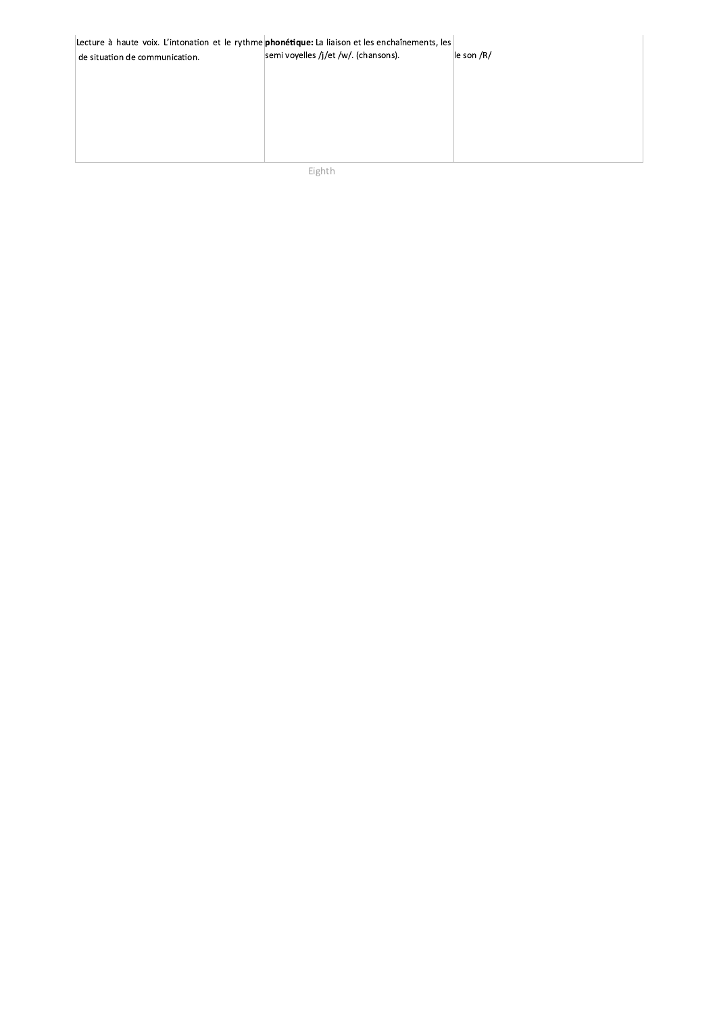| Lecture à haute voix. L'intonation et le rythme phonétique: La liaison et les enchaînements, les<br>de situation de communication. | semi voyelles /j/et /w/. (chansons). | le son /R/ |
|------------------------------------------------------------------------------------------------------------------------------------|--------------------------------------|------------|
|                                                                                                                                    |                                      |            |
|                                                                                                                                    |                                      |            |
|                                                                                                                                    |                                      |            |

Eighth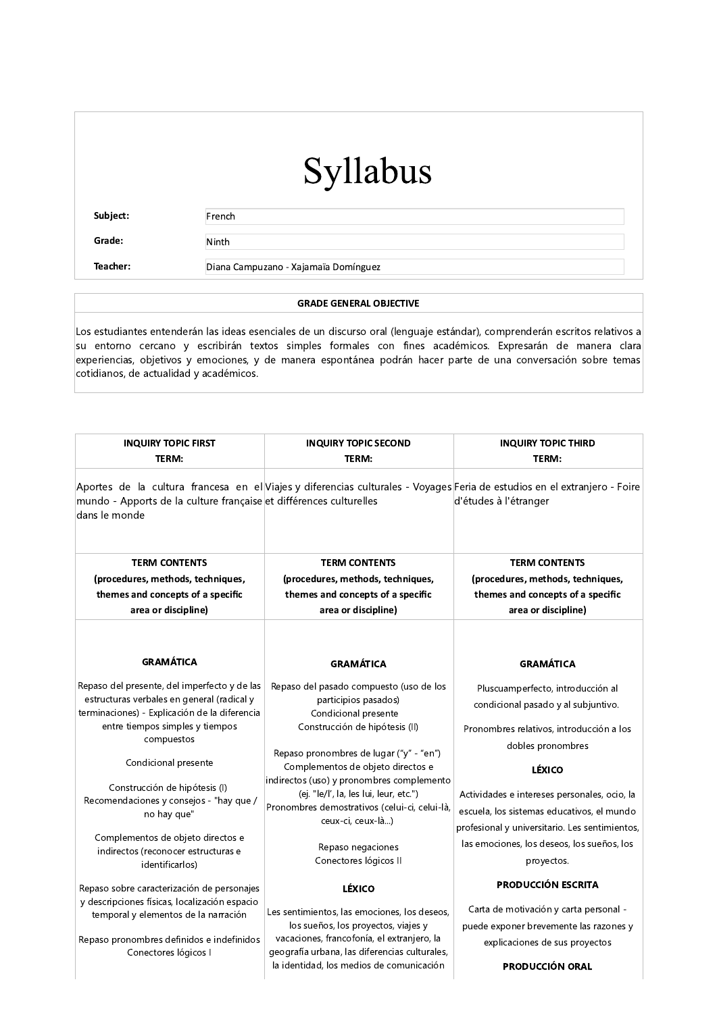Subject:

French

Ninth

Grade:

Teacher:

Diana Campuzano - Xajamaïa Domínguez

#### **GRADE GENERAL OBJECTIVE**

Los estudiantes entenderán las ideas esenciales de un discurso oral (lenguaje estándar), comprenderán escritos relativos a su entorno cercano y escribirán textos simples formales con fines académicos. Expresarán de manera clara experiencias, objetivos y emociones, y de manera espontánea podrán hacer parte de una conversación sobre temas cotidianos, de actualidad y académicos.

| <b>INQUIRY TOPIC FIRST</b>                                                                                                                                                                                                                                                                                                                                                                                     | <b>INQUIRY TOPIC SECOND</b>                                                                                                                                                                                                                                                                                                                                                                                          | <b>INQUIRY TOPIC THIRD</b>                                                                                                                                                                                                                                                                                                                                             |
|----------------------------------------------------------------------------------------------------------------------------------------------------------------------------------------------------------------------------------------------------------------------------------------------------------------------------------------------------------------------------------------------------------------|----------------------------------------------------------------------------------------------------------------------------------------------------------------------------------------------------------------------------------------------------------------------------------------------------------------------------------------------------------------------------------------------------------------------|------------------------------------------------------------------------------------------------------------------------------------------------------------------------------------------------------------------------------------------------------------------------------------------------------------------------------------------------------------------------|
| TERM:<br>mundo - Apports de la culture française et différences culturelles<br>dans le monde                                                                                                                                                                                                                                                                                                                   | TERM:<br>Aportes de la cultura francesa en el Viajes y diferencias culturales - Voyages Feria de estudios en el extranjero - Foire                                                                                                                                                                                                                                                                                   | TERM:<br>d'études à l'étranger                                                                                                                                                                                                                                                                                                                                         |
| <b>TERM CONTENTS</b><br>(procedures, methods, techniques,<br>themes and concepts of a specific<br>area or discipline)                                                                                                                                                                                                                                                                                          | <b>TERM CONTENTS</b><br>(procedures, methods, techniques,<br>themes and concepts of a specific<br>area or discipline)                                                                                                                                                                                                                                                                                                | <b>TERM CONTENTS</b><br>(procedures, methods, techniques,<br>themes and concepts of a specific<br>area or discipline)                                                                                                                                                                                                                                                  |
| <b>GRAMÁTICA</b>                                                                                                                                                                                                                                                                                                                                                                                               | <b>GRAMÁTICA</b>                                                                                                                                                                                                                                                                                                                                                                                                     | <b>GRAMÁTICA</b>                                                                                                                                                                                                                                                                                                                                                       |
| Repaso del presente, del imperfecto y de las<br>estructuras verbales en general (radical y<br>terminaciones) - Explicación de la diferencia<br>entre tiempos simples y tiempos<br>compuestos<br>Condicional presente<br>Construcción de hipótesis (I)<br>Recomendaciones y consejos - "hay que /<br>no hay que"<br>Complementos de objeto directos e<br>indirectos (reconocer estructuras e<br>identificarlos) | Repaso del pasado compuesto (uso de los<br>participios pasados)<br>Condicional presente<br>Construcción de hipótesis (II)<br>Repaso pronombres de lugar ("y" - "en")<br>Complementos de objeto directos e<br>indirectos (uso) y pronombres complemento<br>(ej. "le/l', la, les lui, leur, etc.")<br>Pronombres demostrativos (celui-ci, celui-là,<br>ceux-ci, ceux-là)<br>Repaso negaciones<br>Conectores lógicos II | Pluscuamperfecto, introducción al<br>condicional pasado y al subjuntivo.<br>Pronombres relativos, introducción a los<br>dobles pronombres<br><b>LÉXICO</b><br>Actividades e intereses personales, ocio, la<br>escuela, los sistemas educativos, el mundo<br>profesional y universitario. Les sentimientos,<br>las emociones, los deseos, los sueños, los<br>proyectos. |
| Repaso sobre caracterización de personajes<br>y descripciones físicas, localización espacio                                                                                                                                                                                                                                                                                                                    | <b>LÉXICO</b>                                                                                                                                                                                                                                                                                                                                                                                                        | <b>PRODUCCIÓN ESCRITA</b>                                                                                                                                                                                                                                                                                                                                              |
| temporal y elementos de la narración<br>Repaso pronombres definidos e indefinidos<br>Conectores lógicos I                                                                                                                                                                                                                                                                                                      | Les sentimientos, las emociones, los deseos,<br>los sueños, los proyectos, viajes y<br>vacaciones, francofonía, el extranjero, la<br>geografía urbana, las diferencias culturales,<br>la identidad, los medios de comunicación                                                                                                                                                                                       | Carta de motivación y carta personal -<br>puede exponer brevemente las razones y<br>explicaciones de sus proyectos<br><b>PRODUCCIÓN ORAL</b>                                                                                                                                                                                                                           |